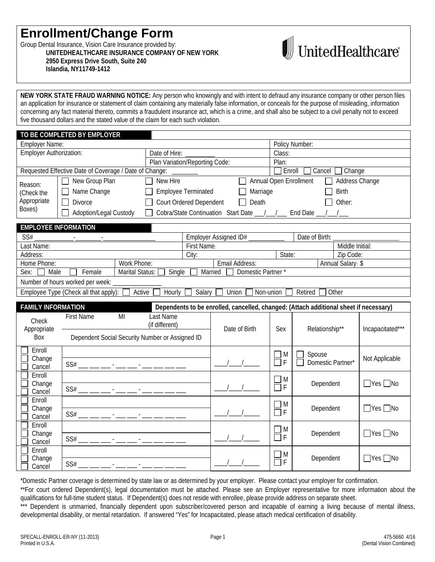## **Enrollment/Change Form**

Group Dental Insurance, Vision Care Insurance provided by: **UNITEDHEALTHCARE INSURANCE COMPANY OF NEW YORK 2950 Express Drive South, Suite 240 Islandia, NY11749-1412**



**NEW YORK STATE FRAUD WARNING NOTICE:** Any person who knowingly and with intent to defraud any insurance company or other person files an application for insurance or statement of claim containing any materially false information, or conceals for the purpose of misleading, information concerning any fact material thereto, commits a fraudulent insurance act, which is a crime, and shall also be subject to a civil penalty not to exceed five thousand dollars and the stated value of the claim for each such violation.

|                                | TO BE COMPLETED BY EMPLOYER                            |                 |                                |                            |                                                                                       |                          |                             |                      |                      |
|--------------------------------|--------------------------------------------------------|-----------------|--------------------------------|----------------------------|---------------------------------------------------------------------------------------|--------------------------|-----------------------------|----------------------|----------------------|
| <b>Employer Name:</b>          |                                                        |                 |                                |                            |                                                                                       |                          | Policy Number:              |                      |                      |
| <b>Employer Authorization:</b> |                                                        | Date of Hire:   |                                |                            | Class:                                                                                |                          |                             |                      |                      |
|                                |                                                        |                 | Plan Variation/Reporting Code: |                            |                                                                                       | Plan:                    |                             |                      |                      |
|                                | Requested Effective Date of Coverage / Date of Change: |                 |                                |                            |                                                                                       | Enroll                   |                             | Cancel $\Box$ Change |                      |
| Reason:                        | New Group Plan                                         |                 | New Hire                       |                            |                                                                                       | Annual Open Enrollment   |                             | Address Change       |                      |
| (Check the                     | Name Change                                            |                 |                                | <b>Employee Terminated</b> | Marriage                                                                              |                          |                             | <b>Birth</b>         |                      |
| Appropriate                    | <b>Divorce</b>                                         |                 |                                | Court Ordered Dependent    | Death                                                                                 |                          |                             | Other:               |                      |
| Boxes)                         | Adoption/Legal Custody                                 |                 |                                |                            | Cobra/State Continuation Start Date __/__/__ End Date                                 |                          |                             |                      |                      |
|                                |                                                        |                 |                                |                            |                                                                                       |                          |                             |                      |                      |
| <b>EMPLOYEE INFORMATION</b>    |                                                        |                 |                                |                            |                                                                                       |                          |                             |                      |                      |
| SS#                            |                                                        |                 |                                |                            | Employer Assigned ID# ___________                                                     |                          | Date of Birth:              |                      |                      |
| Last Name:                     |                                                        |                 |                                | First Name:                |                                                                                       |                          |                             | Middle Initial:      |                      |
| Address:                       |                                                        |                 |                                | City:                      |                                                                                       | State:                   |                             | Zip Code:            |                      |
| Home Phone:                    |                                                        | Work Phone:     |                                |                            | Email Address:                                                                        |                          |                             | Annual Salary: \$    |                      |
| Male<br>Sex:                   | Female                                                 | Marital Status: | Single                         |                            | Domestic Partner*<br>Married                                                          |                          |                             |                      |                      |
|                                | Number of hours worked per week:                       |                 |                                |                            |                                                                                       |                          |                             |                      |                      |
|                                | Employee Type (Check all that apply): [                | Active          | $\overline{H}$ ourly           | Salary $\square$           | Union<br>Non-union                                                                    |                          | Retired                     | Other                |                      |
|                                |                                                        |                 |                                |                            |                                                                                       |                          |                             |                      |                      |
|                                |                                                        |                 |                                |                            |                                                                                       |                          |                             |                      |                      |
| <b>FAMILY INFORMATION</b>      |                                                        |                 |                                |                            | Dependents to be enrolled, cancelled, changed: (Attach additional sheet if necessary) |                          |                             |                      |                      |
| Check                          | <b>First Name</b>                                      | MI              | Last Name<br>(if different)    |                            |                                                                                       |                          |                             |                      |                      |
| Appropriate                    |                                                        |                 |                                |                            | Date of Birth                                                                         | Sex                      | Relationship**              |                      | Incapacitated***     |
| Box                            | Dependent Social Security Number or Assigned ID        |                 |                                |                            |                                                                                       |                          |                             |                      |                      |
| Enroll                         |                                                        |                 |                                |                            |                                                                                       |                          |                             |                      |                      |
| Change                         |                                                        |                 |                                |                            |                                                                                       | M<br>$\overline{F}$      | Spouse<br>Domestic Partner* |                      | Not Applicable       |
| Cancel                         |                                                        |                 |                                |                            |                                                                                       |                          |                             |                      |                      |
| Enroll                         |                                                        |                 |                                |                            |                                                                                       | $\Box$ M                 |                             |                      |                      |
| Change                         |                                                        |                 |                                |                            |                                                                                       | $\overline{F}$<br>$\Box$ | Dependent                   |                      | $\Box$ Yes $\Box$ No |
| Cancel<br>Enroll               |                                                        |                 |                                |                            |                                                                                       |                          |                             |                      |                      |
| Change                         |                                                        |                 |                                |                            |                                                                                       | M                        | Dependent                   |                      | $\Box$ Yes $\Box$ No |
| Cancel                         |                                                        |                 |                                |                            |                                                                                       | $\overline{F}$<br>П      |                             |                      |                      |
| Enroll                         |                                                        |                 |                                |                            |                                                                                       |                          |                             |                      |                      |
| Change                         |                                                        |                 |                                |                            |                                                                                       | M<br>F                   | Dependent                   |                      | $\Box$ Yes $\Box$ No |
| Cancel                         |                                                        |                 |                                |                            |                                                                                       |                          |                             |                      |                      |
| Enroll<br>Change               |                                                        |                 |                                |                            |                                                                                       | M<br>F                   | Dependent                   |                      | $\Box$ Yes $\Box$ No |

\*Domestic Partner coverage is determined by state law or as determined by your employer. Please contact your employer for confirmation.

\*\*For court ordered Dependent(s), legal documentation must be attached. Please see an Employer representative for more information about the qualifications for full-time student status. If Dependent(s) does not reside with enrollee, please provide address on separate sheet.

\*\*\* Dependent is unmarried, financially dependent upon subscriber/covered person and incapable of earning a living because of mental illness, developmental disability, or mental retardation. If answered "Yes" for Incapacitated, please attach medical certification of disability.